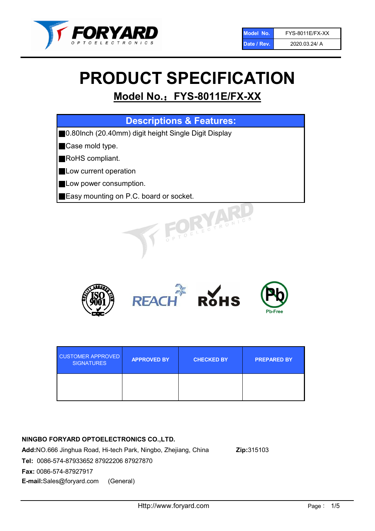

# PRODUCT SPECIFICATION

# Model No.: FYS-8011E/FX-XX

| <b>Descriptions &amp; Features:</b>                   |
|-------------------------------------------------------|
| ■0.80lnch (20.40mm) digit height Single Digit Display |
| Case mold type.                                       |
| RoHS compliant.                                       |
| Low current operation                                 |
| Low power consumption.                                |
| Easy mounting on P.C. board or socket.                |
| UNE CTRONIC                                           |



| <b>CUSTOMER APPROVED</b><br><b>SIGNATURES</b> | <b>APPROVED BY</b> | <b>CHECKED BY</b> | <b>PREPARED BY</b> |
|-----------------------------------------------|--------------------|-------------------|--------------------|
|                                               |                    |                   |                    |

# NINGBO FORYARD OPTOELECTRONICS CO.,LTD.

Add:NO.666 Jinghua Road, Hi-tech Park, Ningbo, Zhejiang, China Zip:315103 Tel: 0086-574-87933652 87922206 87927870 Fax: 0086-574-87927917 E-mail:Sales@foryard.com (General)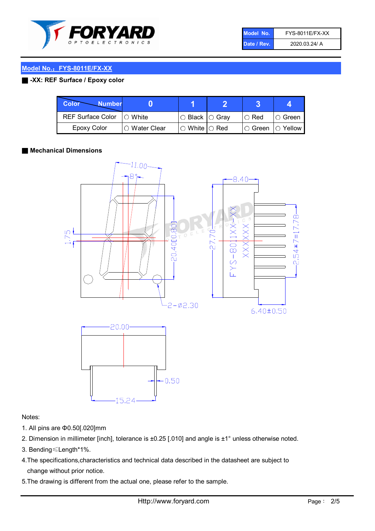

| Model No.   | <b>FYS-8011E/FX-XX</b> |
|-------------|------------------------|
| Date / Rev. | 2020.03.24/ A          |

### Model No.: FYS-8011E/FX-XX

### ■ -XX: REF Surface / Epoxy color

| Color<br><b>Number</b>      |                        |                                                   |             |               |
|-----------------------------|------------------------|---------------------------------------------------|-------------|---------------|
| REF Surface Color   O White |                        | ○ Black  ○ Gray                                   | $\circ$ Red | $\circ$ Green |
| Epoxy Color                 | $\bigcirc$ Water Clear | $\mathbin{\varcap}$ White $\mathbin{\varcap}$ Red | I⊖ Green.   | I∩ Yellow     |

#### ■ Mechanical Dimensions



#### Notes:

- 1. All pins are Φ0.50[.020]mm
- 2. Dimension in millimeter [inch], tolerance is ±0.25 [.010] and angle is ±1° unless otherwise noted.
- 3. Bending≤Length\*1%.
- 4.The specifications,characteristics and technical data described in the datasheet are subject to change without prior notice.
- 5.The drawing is different from the actual one, please refer to the sample.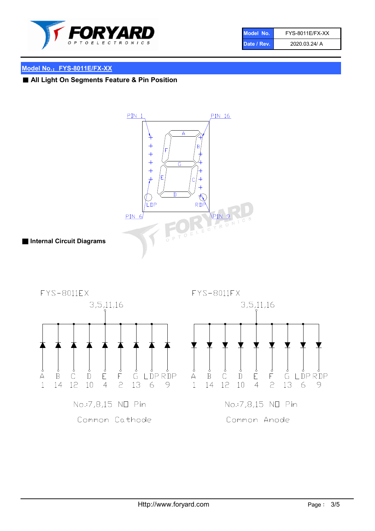

| Model No.   | <b>FYS-8011E/FX-XX</b> |
|-------------|------------------------|
| Date / Rev. | 2020.03.24/ A          |

# Model No.: FYS-8011E/FX-XX

■ All Light On Segments Feature & Pin Position

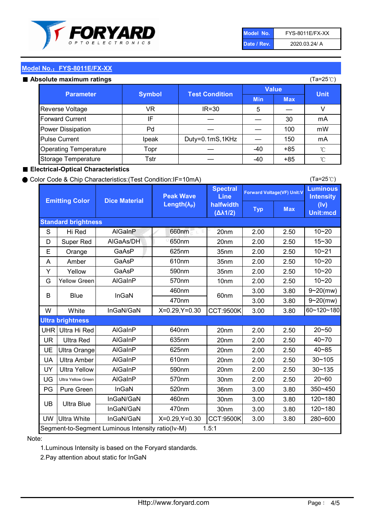

| Model No.   | <b>FYS-8011E/FX-XX</b> |
|-------------|------------------------|
| Date / Rev. | 2020.03.24/ A          |

(Ta=25℃)

#### Model No.: FYS-8011E/FX-XX

#### Absolute maximum

| solute maximum ratings       |               |                       |              |            | (Ta=25℃)    |
|------------------------------|---------------|-----------------------|--------------|------------|-------------|
| <b>Parameter</b>             | <b>Symbol</b> | <b>Test Condition</b> | <b>Value</b> |            |             |
|                              |               |                       | <b>Min</b>   | <b>Max</b> | <b>Unit</b> |
| Reverse Voltage              | VR            | $IR = 30$             | 5            |            |             |
| <b>Forward Current</b>       | ΙF            |                       |              | 30         | mA          |
| Power Dissipation            | Pd            |                       |              | 100        | mW          |
| <b>Pulse Current</b>         | Ipeak         | Duty=0.1mS,1KHz       |              | 150        | mA          |
| <b>Operating Temperature</b> | Topr          |                       | $-40$        | $+85$      | °C          |
| Storage Temperature          | Tstr          |                       | $-40$        | $+85$      | °C          |

#### ■ Electrical-Optical Characteristics

#### ● Color Code & Chip Characteristics:(Test Condition:IF=10mA)

Typ Max S | Hi $\textsf{Red}$  | AlGaInP | 660nm LE 20nm | 2.00 | 2.50 D | Super Red | AIGaAs/DH | 650nm | 20nm | 2.00 | 2.50 E | Orange | GaAsP | 625nm | 35nm | 2.00 | 2.50 A | Amber | GaAsP | 610nm | 35nm | 2.00 | 2.50 Y | Yellow | GaAsP | 590nm | 35nm | 2.00 | 2.50 G Yellow Green AIGaInP | 570nm | 10nm | 2.00 | 2.50 3.00 3.80 3.00 3.80 W | White | InGaN/GaN | X=0.29,Y=0.30 |CCT:9500K| 3.00 | 3.80 UHR Ultra Hi Red | AlGaInP | 640nm | 20nm | 2.00 | 2.50 UR | Ultra Red | AlGaInP | 635nm | 20nm | 2.00 | 2.50 UE Ultra Orange | AIGaInP | 625nm | 20nm | 2.00 | 2.50 UA Ultra Amber | AIGaInP | 610nm | 20nm | 2.00 | 2.50  $UV$  Ultra Yellow  $\vert$  AlGaInP  $\vert$  590nm  $\vert$  20nm  $\vert$  2.00  $\vert$  2.50  $\text{UG}$  Ultra Yellow Green | AIGaInP | 570nm | 30nm | 2.00 | 2.50 PG Pure Green | InGaN | 520nm | 36nm | 3.00 | 3.80 30nm 3.00 3.80 30nm 3.00 3.80 UW |Ultra White | InGaN/GaN | X=0.29,Y=0.30 |CCT:9500K| 3.00 | 3.80 40~85 60~120~180 40~70 Segment-to-Segment Luminous Intensity ratio(Iv-M) 1.5:1 610nm 9~20(mw) 350~450 470nm 120~180 120~180 Ultra Blue InGaN/GaN InGaN/GaN 9~20(mw) 20~50 280~600 570nm | 30nm | 2.00 | 2.50 | 20~60 470nm 590nm InGaN/GaN B Blue I InGaN 570nm | 10nm | 2.00 | 2.50 | 10~20 30~105 30~135 460nm 520nm Ultra brightness **AlGaInP** AlGaInP 60nm AlGaInP 640nm Peak Wave Length $(\lambda_{\rm P})$ UB 460nm 635nm AlGaInP AlGaInP AlGaInP InGaN/GaN AlGaInP 10~20 Luminous **Intensity** (Iv) Unit:mcd AlGainP 660nm GaAsP GaAsP AlGaAs/DH **Spectral** Line halfwidth (∆λ1/2) 10~20 Standard brightness Forward Voltage(VF) Unit:V 15~30 10~20 625nm GaAsP 590nm **Emitting Color Dice Material** 10~21 610nm

#### Note:

1.Luminous Intensity is based on the Foryard standards.

2.Pay attention about static for InGaN